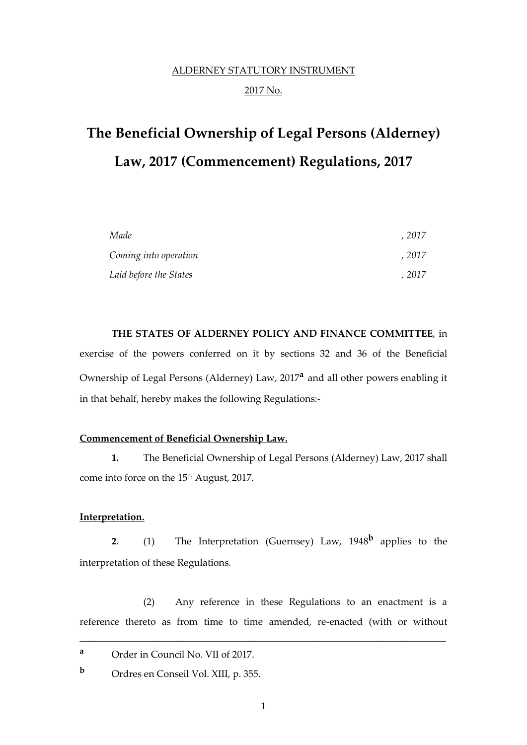# ALDERNEY STATUTORY INSTRUMENT 2017 No.

# **The Beneficial Ownership of Legal Persons (Alderney) Law, 2017 (Commencement) Regulations, 2017**

| Made                   | . 2017 |
|------------------------|--------|
| Coming into operation  | . 2017 |
| Laid before the States | . 2017 |

**THE STATES OF ALDERNEY POLICY AND FINANCE COMMITTEE**, in exercise of the powers conferred on it by sections 32 and 36 of the Beneficial Ownership of Legal Persons (Alderney) Law, 2017**<sup>a</sup>** and all other powers enabling it in that behalf, hereby makes the following Regulations:-

#### **Commencement of Beneficial Ownership Law.**

**1.** The Beneficial Ownership of Legal Persons (Alderney) Law, 2017 shall come into force on the 15<sup>th</sup> August, 2017.

#### **Interpretation.**

**2**. (1) The Interpretation (Guernsey) Law, 1948**<sup>b</sup>** applies to the interpretation of these Regulations.

(2) Any reference in these Regulations to an enactment is a reference thereto as from time to time amended, re-enacted (with or without

\_\_\_\_\_\_\_\_\_\_\_\_\_\_\_\_\_\_\_\_\_\_\_\_\_\_\_\_\_\_\_\_\_\_\_\_\_\_\_\_\_\_\_\_\_\_\_\_\_\_\_\_\_\_\_\_\_\_\_\_\_\_\_\_\_\_\_\_\_

**<sup>a</sup>** Order in Council No. VII of 2017.

**<sup>b</sup>** Ordres en Conseil Vol. XIII, p. 355.

1